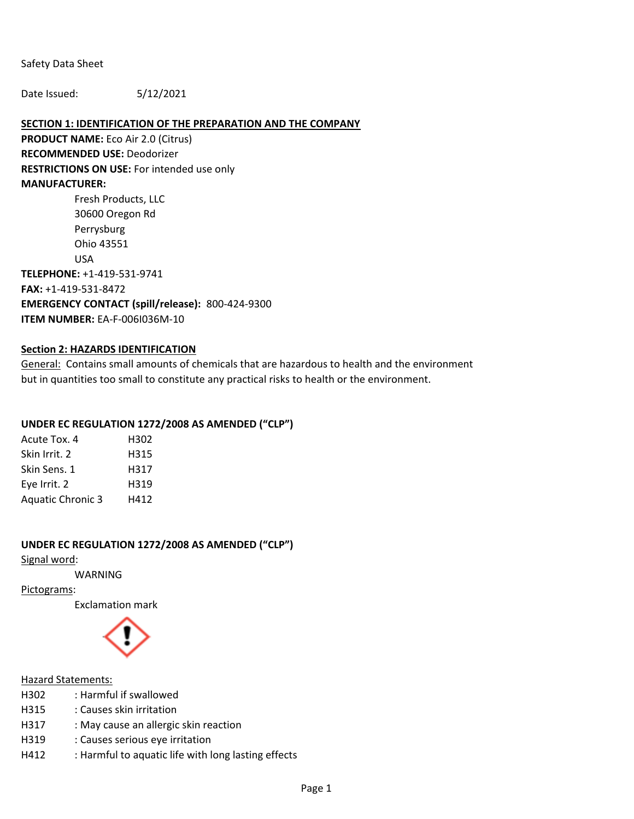Safety Data Sheet

Date Issued: 5/12/2021

#### **SECTION 1: IDENTIFICATION OF THE PREPARATION AND THE COMPANY**

**PRODUCT NAME:** Eco Air 2.0 (Citrus) **RECOMMENDED USE:** Deodorizer **RESTRICTIONS ON USE:** For intended use only **MANUFACTURER:**  Fresh Products, LLC

30600 Oregon Rd Perrysburg Ohio 43551 USA **TELEPHONE:** +1-419-531-9741 **FAX:** +1-419-531-8472 **EMERGENCY CONTACT (spill/release):** 800-424-9300 **ITEM NUMBER:** EA-F-006I036M-10

#### **Section 2: HAZARDS IDENTIFICATION**

General: Contains small amounts of chemicals that are hazardous to health and the environment but in quantities too small to constitute any practical risks to health or the environment.

#### **UNDER EC REGULATION 1272/2008 AS AMENDED ("CLP")**

| Acute Tox. 4             | H302 |
|--------------------------|------|
| Skin Irrit. 2            | H315 |
| Skin Sens. 1             | H317 |
| Eye Irrit. 2             | H319 |
| <b>Aquatic Chronic 3</b> | H412 |

#### **UNDER EC REGULATION 1272/2008 AS AMENDED ("CLP")**

Signal word:

WARNING

Pictograms:

Exclamation mark



#### Hazard Statements:

| H302 | : Harmful if swallowed                              |
|------|-----------------------------------------------------|
| H315 | : Causes skin irritation                            |
| H317 | : May cause an allergic skin reaction               |
| H319 | : Causes serious eye irritation                     |
| H412 | : Harmful to aquatic life with long lasting effects |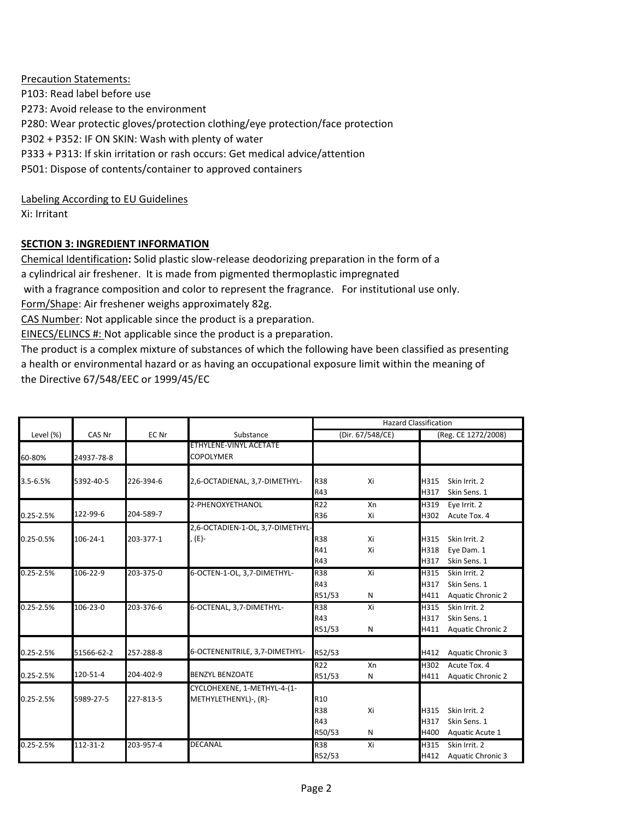Precaution Statements: P103: Read label before use P273: Avoid release to the environment P280: Wear protectic gloves/protection clothing/eye protection/face protection P302 + P352: IF ON SKIN: Wash with plenty of water P333 + P313: If skin irritation or rash occurs: Get medical advice/attention P501: Dispose of contents/container to approved containers

Labeling According to EU Guidelines Xi: Irritant

# **SECTION 3: INGREDIENT INFORMATION**

Chemical Identification**:** Solid plastic slow-release deodorizing preparation in the form of a a cylindrical air freshener. It is made from pigmented thermoplastic impregnated with a fragrance composition and color to represent the fragrance. For institutional use only. Form/Shape: Air freshener weighs approximately 82g.

CAS Number: Not applicable since the product is a preparation.

EINECS/ELINCS #: Not applicable since the product is a preparation.

The product is a complex mixture of substances of which the following have been classified as presenting a health or environmental hazard or as having an occupational exposure limit within the meaning of the Directive 67/548/EEC or 1999/45/EC

|               |            |           |                                  | <b>Hazard Classification</b> |                  |              |                               |
|---------------|------------|-----------|----------------------------------|------------------------------|------------------|--------------|-------------------------------|
| Level (%)     | CAS Nr     | EC Nr     | Substance                        |                              | (Dir. 67/548/CE) |              | (Reg. CE 1272/2008)           |
|               |            |           | ETHYLENE-VINYL ACETATE           |                              |                  |              |                               |
| 60-80%        | 24937-78-8 |           | <b>COPOLYMER</b>                 |                              |                  |              |                               |
|               |            |           |                                  |                              |                  |              |                               |
| 3.5-6.5%      | 5392-40-5  | 226-394-6 | 2,6-OCTADIENAL, 3,7-DIMETHYL-    | <b>R38</b><br>R43            | Xi               | H315<br>H317 | Skin Irrit. 2<br>Skin Sens. 1 |
|               |            |           |                                  |                              |                  |              |                               |
|               | 122-99-6   | 204-589-7 | 2-PHENOXYETHANOL                 | R <sub>22</sub>              | Xn               | H319         | Eye Irrit. 2                  |
| 0.25-2.5%     |            |           |                                  | <b>R36</b>                   | Xi               | H302         | Acute Tox. 4                  |
|               |            |           | 2,6-OCTADIEN-1-OL, 3,7-DIMETHYL- |                              |                  |              |                               |
| 0.25-0.5%     | 106-24-1   | 203-377-1 | , (E)-                           | R38                          | Xi               | H315         | Skin Irrit, 2                 |
|               |            |           |                                  | R41                          | Xi               | H318         | Eye Dam. 1                    |
|               |            |           |                                  | R43                          |                  | H317         | Skin Sens. 1                  |
| $0.25 - 2.5%$ | 106-22-9   | 203-375-0 | 6-OCTEN-1-OL, 3,7-DIMETHYL-      | <b>R38</b>                   | Xi               | H315         | Skin Irrit. 2                 |
|               |            |           |                                  | R43                          |                  | H317         | Skin Sens. 1                  |
|               |            |           |                                  | R51/53                       | $\mathsf{N}$     | H411         | <b>Aquatic Chronic 2</b>      |
| $0.25 - 2.5%$ | 106-23-0   | 203-376-6 | 6-OCTENAL, 3,7-DIMETHYL-         | <b>R38</b>                   | Xi               | H315         | Skin Irrit. 2                 |
|               |            |           |                                  | R43                          |                  | H317         | Skin Sens. 1                  |
|               |            |           |                                  | R51/53                       | N                | H411         | <b>Aquatic Chronic 2</b>      |
| $0.25 - 2.5%$ | 51566-62-2 | 257-288-8 | 6-OCTENENITRILE, 3,7-DIMETHYL-   | R52/53                       |                  | H412         | <b>Aquatic Chronic 3</b>      |
|               |            |           |                                  |                              |                  |              |                               |
|               | 120-51-4   | 204-402-9 | <b>BENZYL BENZOATE</b>           | R22                          | Xn               | H302         | Acute Tox. 4                  |
| 0.25-2.5%     |            |           |                                  | R51/53                       | Ν                | H411         | <b>Aquatic Chronic 2</b>      |
|               |            |           | CYCLOHEXENE, 1-METHYL-4-(1-      |                              |                  |              |                               |
| $0.25 - 2.5%$ | 5989-27-5  | 227-813-5 | METHYLETHENYL)-, (R)-            | R <sub>10</sub>              |                  |              |                               |
|               |            |           |                                  | <b>R38</b>                   | Xi               | H315         | Skin Irrit, 2                 |
|               |            |           |                                  | R43                          |                  | H317         | Skin Sens. 1                  |
|               |            |           |                                  | R50/53                       | N                | H400         | Aquatic Acute 1               |
| $0.25 - 2.5%$ | 112-31-2   | 203-957-4 | <b>DECANAL</b>                   | R38                          | Xi               | H315         | Skin Irrit, 2                 |
|               |            |           |                                  | R52/53                       |                  | H412         | <b>Aquatic Chronic 3</b>      |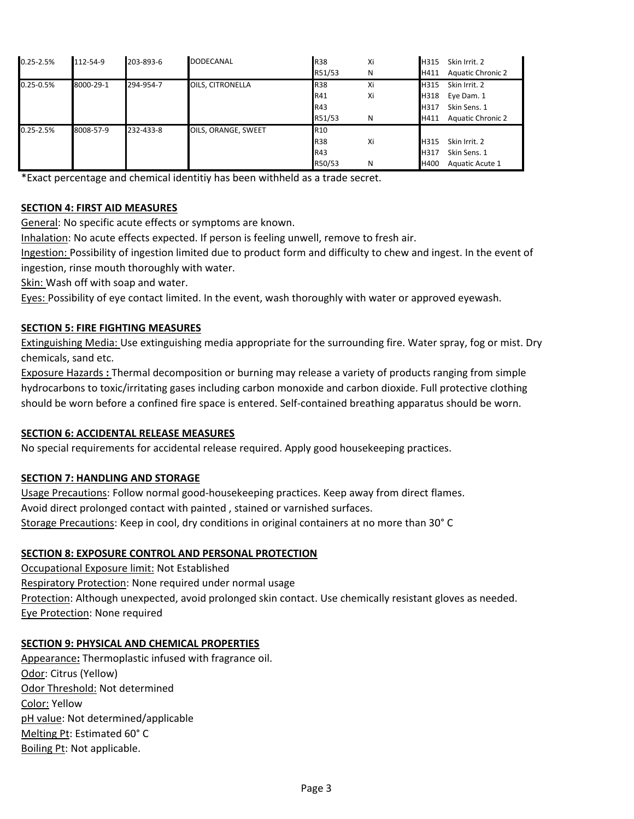| 0.25-2.5% | 112-54-9  | 203-893-6 | <b>DODECANAL</b>    | <b>R38</b>      | Xi | Skin Irrit. 2<br>H315            |
|-----------|-----------|-----------|---------------------|-----------------|----|----------------------------------|
|           |           |           |                     | R51/53          | N  | <b>Aquatic Chronic 2</b><br>H411 |
| 0.25-0.5% | 8000-29-1 | 294-954-7 | OILS, CITRONELLA    | <b>R38</b>      | Xi | Skin Irrit. 2<br>H315            |
|           |           |           |                     | R41             | Xi | H318<br>Eye Dam. 1               |
|           |           |           |                     | R43             |    | Skin Sens. 1<br>H317             |
|           |           |           |                     | R51/53          | N  | <b>Aquatic Chronic 2</b><br>H411 |
| 0.25-2.5% | 8008-57-9 | 232-433-8 | OILS, ORANGE, SWEET | R <sub>10</sub> |    |                                  |
|           |           |           |                     | <b>R38</b>      | Xi | Skin Irrit. 2<br>H315            |
|           |           |           |                     | R43             |    | Skin Sens. 1<br>H317             |
|           |           |           |                     | R50/53          | N  | H400<br>Aquatic Acute 1          |

\*Exact percentage and chemical identitiy has been withheld as a trade secret.

## **SECTION 4: FIRST AID MEASURES**

General: No specific acute effects or symptoms are known.

Inhalation: No acute effects expected. If person is feeling unwell, remove to fresh air.

Ingestion: Possibility of ingestion limited due to product form and difficulty to chew and ingest. In the event of ingestion, rinse mouth thoroughly with water.

Skin: Wash off with soap and water.

Eyes: Possibility of eye contact limited. In the event, wash thoroughly with water or approved eyewash.

## **SECTION 5: FIRE FIGHTING MEASURES**

Extinguishing Media: Use extinguishing media appropriate for the surrounding fire. Water spray, fog or mist. Dry chemicals, sand etc.

Exposure Hazards **:** Thermal decomposition or burning may release a variety of products ranging from simple hydrocarbons to toxic/irritating gases including carbon monoxide and carbon dioxide. Full protective clothing should be worn before a confined fire space is entered. Self-contained breathing apparatus should be worn.

#### **SECTION 6: ACCIDENTAL RELEASE MEASURES**

No special requirements for accidental release required. Apply good housekeeping practices.

# **SECTION 7: HANDLING AND STORAGE**

Usage Precautions: Follow normal good-housekeeping practices. Keep away from direct flames. Avoid direct prolonged contact with painted , stained or varnished surfaces. Storage Precautions: Keep in cool, dry conditions in original containers at no more than 30° C

#### **SECTION 8: EXPOSURE CONTROL AND PERSONAL PROTECTION**

Occupational Exposure limit: Not Established Respiratory Protection: None required under normal usage Protection: Although unexpected, avoid prolonged skin contact. Use chemically resistant gloves as needed. Eye Protection: None required

#### **SECTION 9: PHYSICAL AND CHEMICAL PROPERTIES**

Appearance**:** Thermoplastic infused with fragrance oil. Odor: Citrus (Yellow) Odor Threshold: Not determined Color: Yellow pH value: Not determined/applicable Melting Pt: Estimated 60° C Boiling Pt: Not applicable.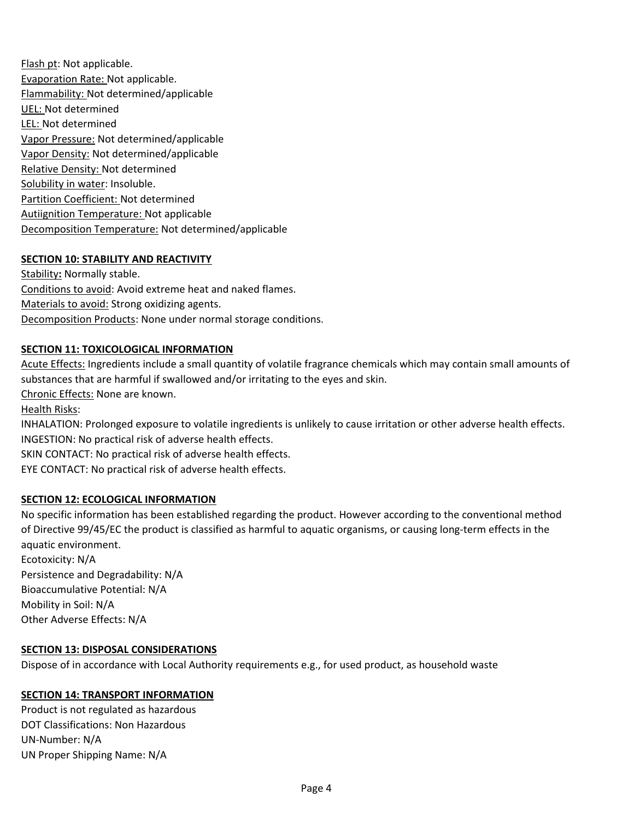Flash pt: Not applicable. Evaporation Rate: Not applicable. Flammability: Not determined/applicable UEL: Not determined LEL: Not determined Vapor Pressure: Not determined/applicable Vapor Density: Not determined/applicable Relative Density: Not determined Solubility in water: Insoluble. Partition Coefficient: Not determined Autiignition Temperature: Not applicable Decomposition Temperature: Not determined/applicable

## **SECTION 10: STABILITY AND REACTIVITY**

Stability**:** Normally stable. Conditions to avoid: Avoid extreme heat and naked flames. Materials to avoid: Strong oxidizing agents. Decomposition Products: None under normal storage conditions.

#### **SECTION 11: TOXICOLOGICAL INFORMATION**

Acute Effects: Ingredients include a small quantity of volatile fragrance chemicals which may contain small amounts of substances that are harmful if swallowed and/or irritating to the eyes and skin. Chronic Effects: None are known. Health Risks: INHALATION: Prolonged exposure to volatile ingredients is unlikely to cause irritation or other adverse health effects. INGESTION: No practical risk of adverse health effects. SKIN CONTACT: No practical risk of adverse health effects. EYE CONTACT: No practical risk of adverse health effects. **SECTION 12: ECOLOGICAL INFORMATION**

No specific information has been established regarding the product. However according to the conventional method of Directive 99/45/EC the product is classified as harmful to aquatic organisms, or causing long-term effects in the aquatic environment. Ecotoxicity: N/A Persistence and Degradability: N/A Bioaccumulative Potential: N/A Mobility in Soil: N/A Other Adverse Effects: N/A

#### **SECTION 13: DISPOSAL CONSIDERATIONS**

Dispose of in accordance with Local Authority requirements e.g., for used product, as household waste

#### **SECTION 14: TRANSPORT INFORMATION**

Product is not regulated as hazardous DOT Classifications: Non Hazardous UN-Number: N/A UN Proper Shipping Name: N/A